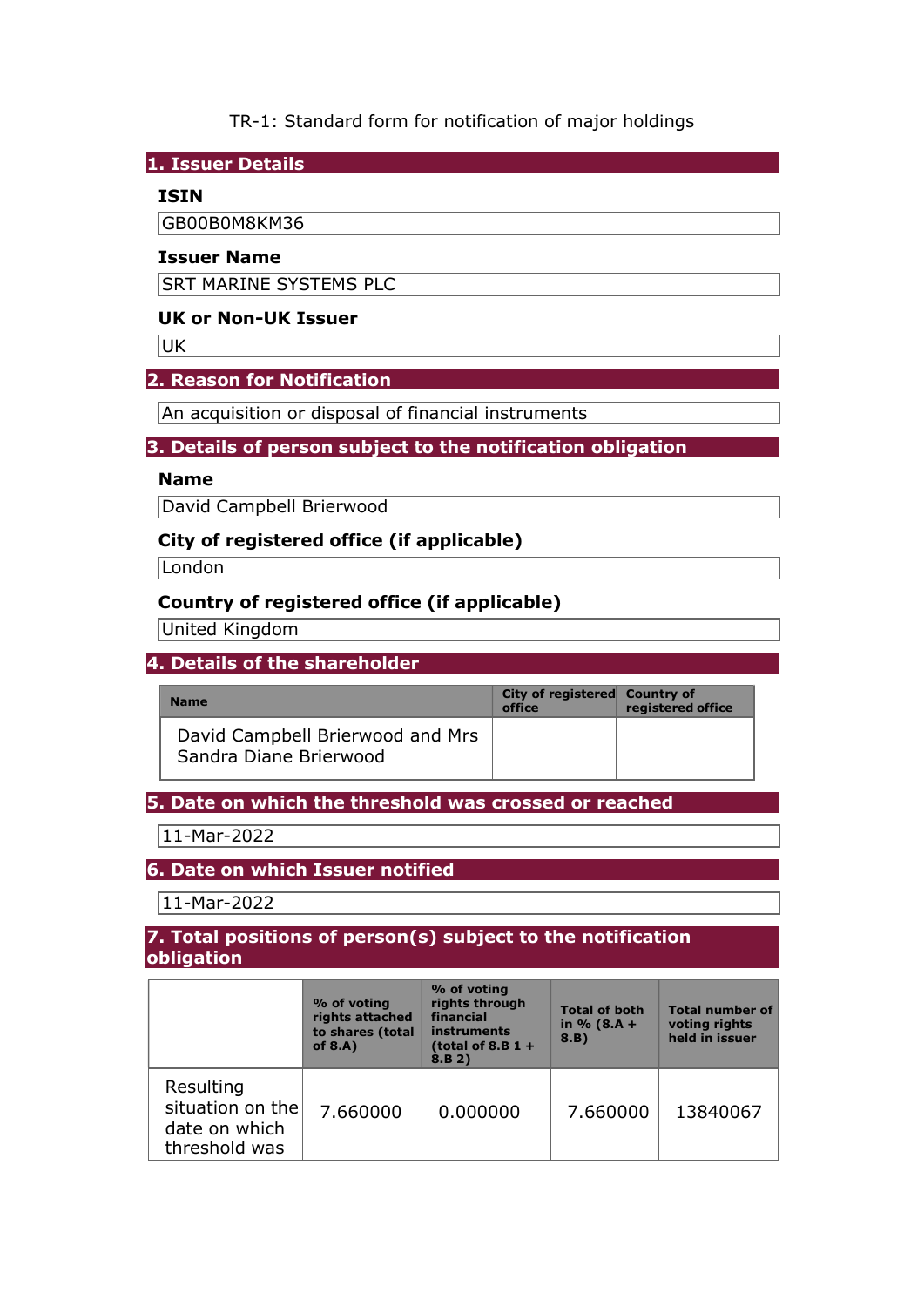TR-1: Standard form for notification of major holdings

1. Issuer Details

## ISIN

GB00B0M8KM36

### Issuer Name

SRT MARINE SYSTEMS PLC

### UK or Non-UK Issuer

UK

### 2. Reason for Notification

An acquisition or disposal of financial instruments

# 3. Details of person subject to the notification obligation

#### Name

David Campbell Brierwood

## City of registered office (if applicable)

**London** 

## Country of registered office (if applicable)

United Kingdom

## 4. Details of the shareholder

| <b>Name</b>                                                | City of registered Country of<br>office | registered office |
|------------------------------------------------------------|-----------------------------------------|-------------------|
| David Campbell Brierwood and Mrs<br>Sandra Diane Brierwood |                                         |                   |

#### 5. Date on which the threshold was crossed or reached

11-Mar-2022

## 6. Date on which Issuer notified

11-Mar-2022

#### 7. Total positions of person(s) subject to the notification obligation

|                                                                 | % of voting<br>rights attached<br>to shares (total<br>of $8.A$ ) | % of voting<br>rights through<br>financial<br>instruments<br>(total of 8.B $1 +$<br>8.B 2) | <b>Total of both</b><br>in $% (8.A +$<br>8.B) | <b>Total number of</b><br>voting rights<br>held in issuer |
|-----------------------------------------------------------------|------------------------------------------------------------------|--------------------------------------------------------------------------------------------|-----------------------------------------------|-----------------------------------------------------------|
| Resulting<br>situation on the<br>date on which<br>threshold was | 7.660000                                                         | 0.000000                                                                                   | 7.660000                                      | 13840067                                                  |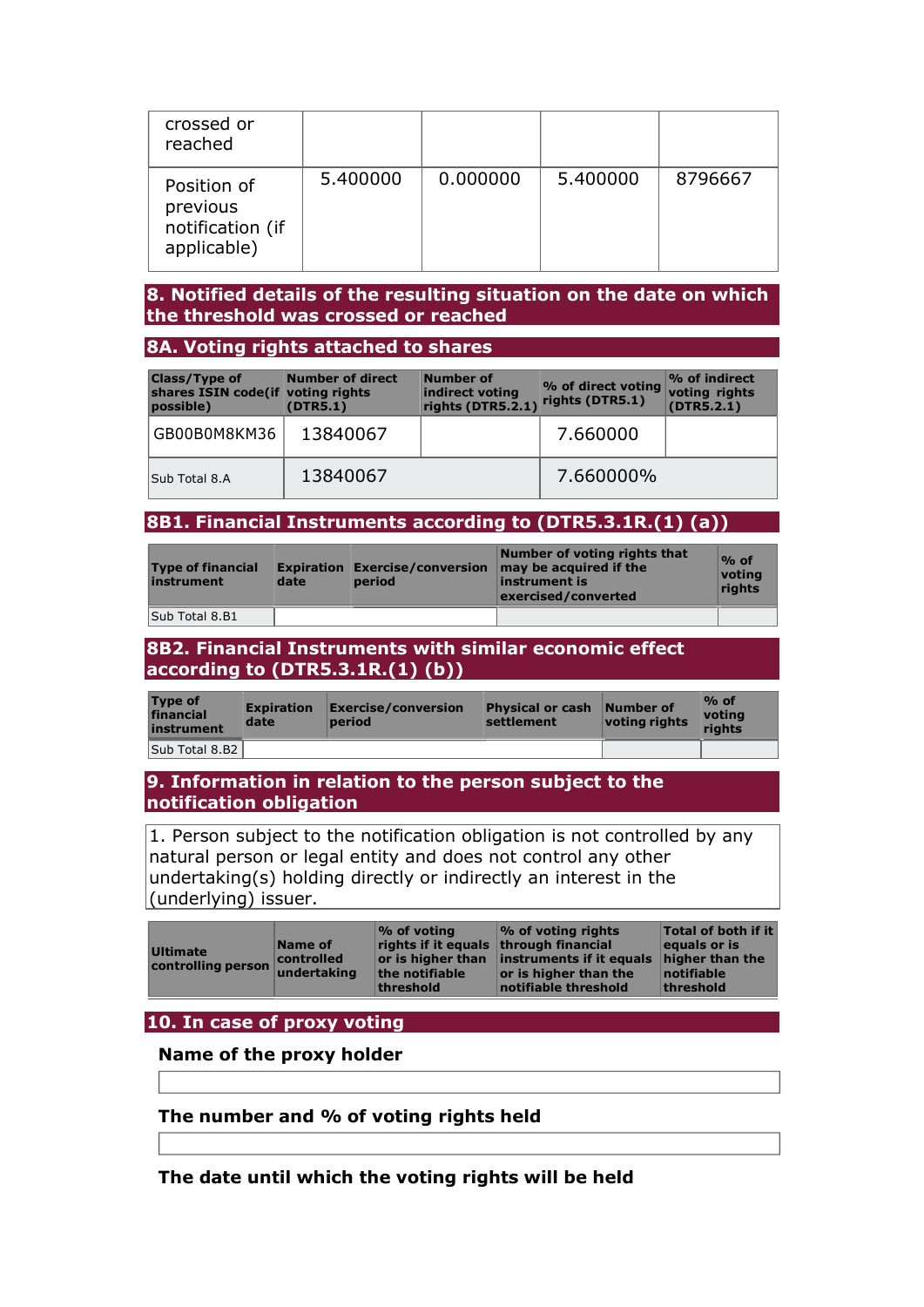| crossed or<br>reached                                      |          |          |          |         |
|------------------------------------------------------------|----------|----------|----------|---------|
| Position of<br>previous<br>notification (if<br>applicable) | 5.400000 | 0.000000 | 5.400000 | 8796667 |

### 8. Notified details of the resulting situation on the date on which the threshold was crossed or reached

#### 8A. Voting rights attached to shares

| <b>Class/Type of</b><br>shares ISIN code(if voting rights<br>possible) | <b>Number of direct</b><br>(DTR5.1) | Number of<br>indirect voting<br>rights (DTR5.2.1) | % of direct voting<br>rights (DTR5.1) | $\mathcal V$ of indirect<br>voting rights<br>(DTR5.2.1) |
|------------------------------------------------------------------------|-------------------------------------|---------------------------------------------------|---------------------------------------|---------------------------------------------------------|
| GB00B0M8KM36                                                           | 13840067                            |                                                   | 7.660000                              |                                                         |
| Sub Total 8.A                                                          | 13840067                            |                                                   | 7.660000%                             |                                                         |

### 8B1. Financial Instruments according to (DTR5.3.1R.(1) (a))

| <b>Type of financial</b><br>instrument | date | Expiration Exercise/conversion<br>period | Number of voting rights that<br>may be acquired if the<br>instrument is<br>exercised/converted | $%$ of<br>votina<br>rights |
|----------------------------------------|------|------------------------------------------|------------------------------------------------------------------------------------------------|----------------------------|
| Sub Total 8.B1                         |      |                                          |                                                                                                |                            |

### 8B2. Financial Instruments with similar economic effect according to (DTR5.3.1R.(1) (b))

| <b>Type of</b><br>financial<br>instrument | <b>Expiration</b><br>date | <b>Exercise/conversion</b><br>period | Physical or cash Number of<br>settlement | voting rights | $\%$ of<br>votina<br>riahts |
|-------------------------------------------|---------------------------|--------------------------------------|------------------------------------------|---------------|-----------------------------|
| Sub Total 8.B2                            |                           |                                      |                                          |               |                             |

### 9. Information in relation to the person subject to the notification obligation

1. Person subject to the notification obligation is not controlled by any natural person or legal entity and does not control any other undertaking(s) holding directly or indirectly an interest in the (underlying) issuer.

## 10. In case of proxy voting

#### Name of the proxy holder

## The number and % of voting rights held

The date until which the voting rights will be held